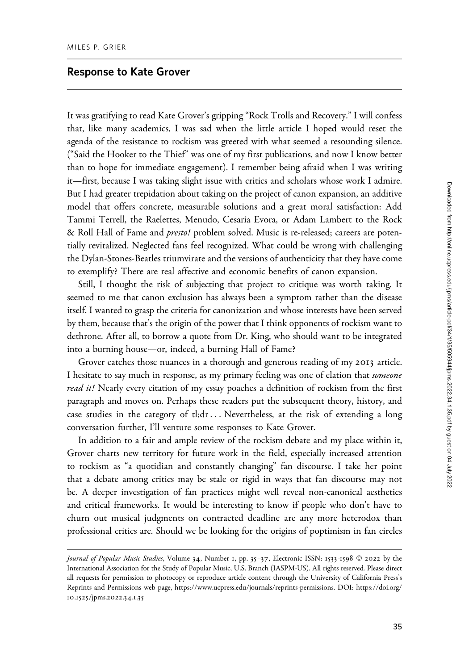## Response to Kate Grover

It was gratifying to read Kate Grover's gripping "Rock Trolls and Recovery." I will confess that, like many academics, I was sad when the little article I hoped would reset the agenda of the resistance to rockism was greeted with what seemed a resounding silence. ("Said the Hooker to the Thief" was one of my first publications, and now I know better than to hope for immediate engagement). I remember being afraid when I was writing it—first, because I was taking slight issue with critics and scholars whose work I admire. But I had greater trepidation about taking on the project of canon expansion, an additive model that offers concrete, measurable solutions and a great moral satisfaction: Add Tammi Terrell, the Raelettes, Menudo, Cesaria Evora, or Adam Lambert to the Rock & Roll Hall of Fame and *presto!* problem solved. Music is re-released; careers are potentially revitalized. Neglected fans feel recognized. What could be wrong with challenging the Dylan-Stones-Beatles triumvirate and the versions of authenticity that they have come to exemplify? There are real affective and economic benefits of canon expansion.

Still, I thought the risk of subjecting that project to critique was worth taking. It seemed to me that canon exclusion has always been a symptom rather than the disease itself. I wanted to grasp the criteria for canonization and whose interests have been served by them, because that's the origin of the power that I think opponents of rockism want to dethrone. After all, to borrow a quote from Dr. King, who should want to be integrated into a burning house—or, indeed, a burning Hall of Fame?

Grover catches those nuances in a thorough and generous reading of my 2013 article. I hesitate to say much in response, as my primary feeling was one of elation that someone read it! Nearly every citation of my essay poaches a definition of rockism from the first paragraph and moves on. Perhaps these readers put the subsequent theory, history, and case studies in the category of tl;dr ... Nevertheless, at the risk of extending a long conversation further, I'll venture some responses to Kate Grover.

In addition to a fair and ample review of the rockism debate and my place within it, Grover charts new territory for future work in the field, especially increased attention to rockism as "a quotidian and constantly changing" fan discourse. I take her point that a debate among critics may be stale or rigid in ways that fan discourse may not be. A deeper investigation of fan practices might well reveal non-canonical aesthetics and critical frameworks. It would be interesting to know if people who don't have to churn out musical judgments on contracted deadline are any more heterodox than professional critics are. Should we be looking for the origins of poptimism in fan circles

Journal of Popular Music Studies, Volume 34, Number 1, pp. 35–37, Electronic ISSN: 1533-1598 © 2022 by the International Association for the Study of Popular Music, U.S. Branch (IASPM-US). All rights reserved. Please direct all requests for permission to photocopy or reproduce article content through the University of California Press's Reprints and Permissions web page, [https://www.ucpress.edu/journals/reprints-permissions.](https://www.ucpress.edu/journals/reprints-permissions) [DOI: https://doi.org/](https://doi.org/10.1525/jpms.2022.34.1.35) 10.1525[/jpms.](https://doi.org/10.1525/jpms.2022.34.1.35)2022.34.1.35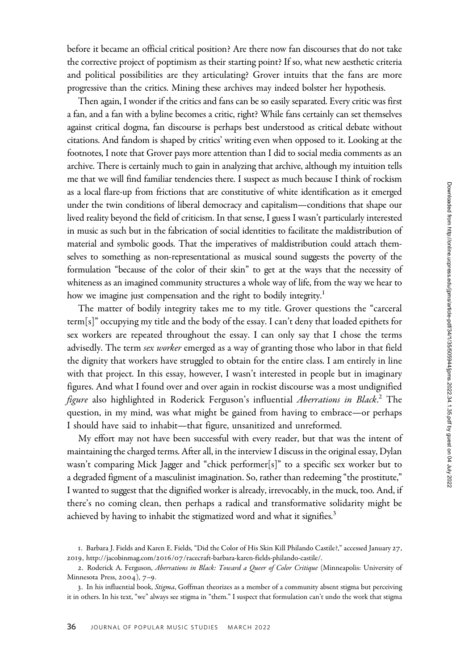before it became an official critical position? Are there now fan discourses that do not take the corrective project of poptimism as their starting point? If so, what new aesthetic criteria and political possibilities are they articulating? Grover intuits that the fans are more progressive than the critics. Mining these archives may indeed bolster her hypothesis.

Then again, I wonder if the critics and fans can be so easily separated. Every critic was first a fan, and a fan with a byline becomes a critic, right? While fans certainly can set themselves against critical dogma, fan discourse is perhaps best understood as critical debate without citations. And fandom is shaped by critics' writing even when opposed to it. Looking at the footnotes, I note that Grover pays more attention than I did to social media comments as an archive. There is certainly much to gain in analyzing that archive, although my intuition tells me that we will find familiar tendencies there. I suspect as much because I think of rockism as a local flare-up from frictions that are constitutive of white identification as it emerged under the twin conditions of liberal democracy and capitalism—conditions that shape our lived reality beyond the field of criticism. In that sense, I guess I wasn't particularly interested in music as such but in the fabrication of social identities to facilitate the maldistribution of material and symbolic goods. That the imperatives of maldistribution could attach themselves to something as non-representational as musical sound suggests the poverty of the formulation "because of the color of their skin" to get at the ways that the necessity of whiteness as an imagined community structures a whole way of life, from the way we hear to how we imagine just compensation and the right to bodily integrity.<sup>1</sup>

The matter of bodily integrity takes me to my title. Grover questions the "carceral term[s]" occupying my title and the body of the essay. I can't deny that loaded epithets for sex workers are repeated throughout the essay. I can only say that I chose the terms advisedly. The term *sex worker* emerged as a way of granting those who labor in that field the dignity that workers have struggled to obtain for the entire class. I am entirely in line with that project. In this essay, however, I wasn't interested in people but in imaginary figures. And what I found over and over again in rockist discourse was a most undignified figure also highlighted in Roderick Ferguson's influential *Aberrations in Black.*2 The question, in my mind, was what might be gained from having to embrace—or perhaps I should have said to inhabit—that figure, unsanitized and unreformed.

My effort may not have been successful with every reader, but that was the intent of maintaining the charged terms. After all, in the interview I discuss in the original essay, Dylan wasn't comparing Mick Jagger and "chick performer[s]" to a specific sex worker but to a degraded figment of a masculinist imagination. So, rather than redeeming "the prostitute," I wanted to suggest that the dignified worker is already, irrevocably, in the muck, too. And, if there's no coming clean, then perhaps a radical and transformative solidarity might be achieved by having to inhabit the stigmatized word and what it signifies.<sup>3</sup>

<sup>1</sup>. Barbara J. Fields and Karen E. Fields, "Did the Color of His Skin Kill Philando Castile?," accessed January 27, 2019, http://jacobinmag.com/2016/07[/racecraft-barbara-karen-fields-philando-castile/.](http://jacobinmag.com/2016/07/racecraft-barbara-karen-fields-philando-castile/)

<sup>2.</sup> Roderick A. Ferguson, Aberrations in Black: Toward a Queer of Color Critique (Minneapolis: University of Minnesota Press, 2004), 7–9.

<sup>3</sup>. In his influential book, Stigma, Goffman theorizes as a member of a community absent stigma but perceiving it in others. In his text, "we" always see stigma in "them." I suspect that formulation can't undo the work that stigma